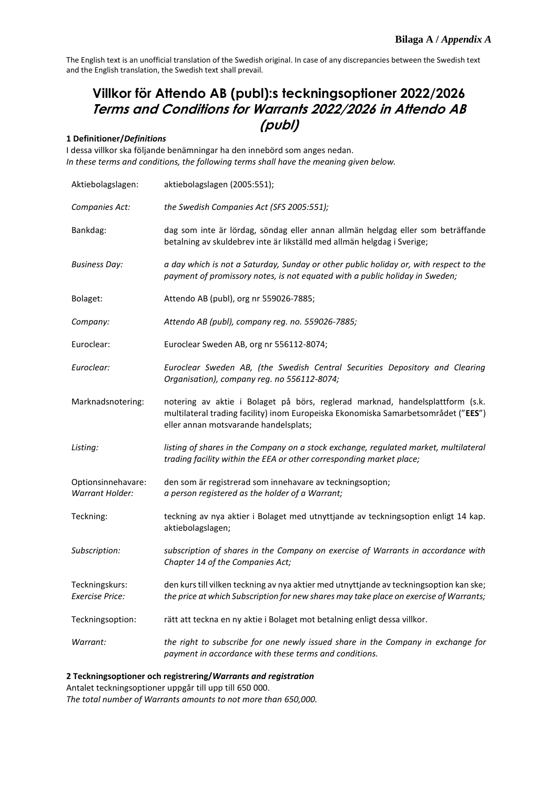# **Villkor för Attendo AB (publ):s teckningsoptioner 2022/2026 Terms and Conditions for Warrants 2022/2026 in Attendo AB (publ)**

# **1 Definitioner/***Definitions*

I dessa villkor ska följande benämningar ha den innebörd som anges nedan. *In these terms and conditions, the following terms shall have the meaning given below.*

| Aktiebolagslagen:                        | aktiebolagslagen (2005:551);                                                                                                                                                                                 |
|------------------------------------------|--------------------------------------------------------------------------------------------------------------------------------------------------------------------------------------------------------------|
| Companies Act:                           | the Swedish Companies Act (SFS 2005:551);                                                                                                                                                                    |
| Bankdag:                                 | dag som inte är lördag, söndag eller annan allmän helgdag eller som beträffande<br>betalning av skuldebrev inte är likställd med allmän helgdag i Sverige;                                                   |
| Business Day:                            | a day which is not a Saturday, Sunday or other public holiday or, with respect to the<br>payment of promissory notes, is not equated with a public holiday in Sweden;                                        |
| Bolaget:                                 | Attendo AB (publ), org nr 559026-7885;                                                                                                                                                                       |
| Company:                                 | Attendo AB (publ), company reg. no. 559026-7885;                                                                                                                                                             |
| Euroclear:                               | Euroclear Sweden AB, org nr 556112-8074;                                                                                                                                                                     |
| Euroclear:                               | Euroclear Sweden AB, (the Swedish Central Securities Depository and Clearing<br>Organisation), company reg. no 556112-8074;                                                                                  |
| Marknadsnotering:                        | notering av aktie i Bolaget på börs, reglerad marknad, handelsplattform (s.k.<br>multilateral trading facility) inom Europeiska Ekonomiska Samarbetsområdet ("EES")<br>eller annan motsvarande handelsplats; |
| Listing:                                 | listing of shares in the Company on a stock exchange, regulated market, multilateral<br>trading facility within the EEA or other corresponding market place;                                                 |
| Optionsinnehavare:<br>Warrant Holder:    | den som är registrerad som innehavare av teckningsoption;<br>a person registered as the holder of a Warrant;                                                                                                 |
| Teckning:                                | teckning av nya aktier i Bolaget med utnyttjande av teckningsoption enligt 14 kap.<br>aktiebolagslagen;                                                                                                      |
| Subscription:                            | subscription of shares in the Company on exercise of Warrants in accordance with<br>Chapter 14 of the Companies Act;                                                                                         |
| Teckningskurs:<br><b>Exercise Price:</b> | den kurs till vilken teckning av nya aktier med utnyttjande av teckningsoption kan ske;<br>the price at which Subscription for new shares may take place on exercise of Warrants;                            |
| Teckningsoption:                         | rätt att teckna en ny aktie i Bolaget mot betalning enligt dessa villkor.                                                                                                                                    |
| Warrant:                                 | the right to subscribe for one newly issued share in the Company in exchange for<br>payment in accordance with these terms and conditions.                                                                   |

# **2 Teckningsoptioner och registrering/***Warrants and registration*

Antalet teckningsoptioner uppgår till upp till 650 000.

*The total number of Warrants amounts to not more than 650,000.*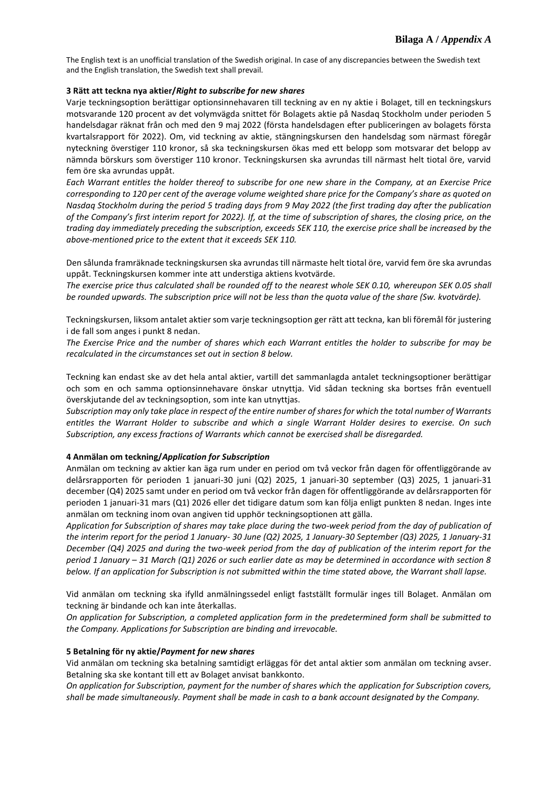## **3 Rätt att teckna nya aktier/***Right to subscribe for new shares*

Varje teckningsoption berättigar optionsinnehavaren till teckning av en ny aktie i Bolaget, till en teckningskurs motsvarande 120 procent av det volymvägda snittet för Bolagets aktie på Nasdaq Stockholm under perioden 5 handelsdagar räknat från och med den 9 maj 2022 (första handelsdagen efter publiceringen av bolagets första kvartalsrapport för 2022). Om, vid teckning av aktie, stängningskursen den handelsdag som närmast föregår nyteckning överstiger 110 kronor, så ska teckningskursen ökas med ett belopp som motsvarar det belopp av nämnda börskurs som överstiger 110 kronor. Teckningskursen ska avrundas till närmast helt tiotal öre, varvid fem öre ska avrundas uppåt.

*Each Warrant entitles the holder thereof to subscribe for one new share in the Company, at an Exercise Price corresponding to 120 per cent of the average volume weighted share price for the Company's share as quoted on Nasdaq Stockholm during the period 5 trading days from 9 May 2022 (the first trading day after the publication of the Company's first interim report for 2022). If, at the time of subscription of shares, the closing price, on the trading day immediately preceding the subscription, exceeds SEK 110, the exercise price shall be increased by the above-mentioned price to the extent that it exceeds SEK 110.* 

Den sålunda framräknade teckningskursen ska avrundas till närmaste helt tiotal öre, varvid fem öre ska avrundas uppåt. Teckningskursen kommer inte att understiga aktiens kvotvärde.

*The exercise price thus calculated shall be rounded off to the nearest whole SEK 0.10, whereupon SEK 0.05 shall be rounded upwards. The subscription price will not be less than the quota value of the share (Sw. kvotvärde).*

Teckningskursen, liksom antalet aktier som varje teckningsoption ger rätt att teckna, kan bli föremål för justering i de fall som anges i punkt 8 nedan.

*The Exercise Price and the number of shares which each Warrant entitles the holder to subscribe for may be recalculated in the circumstances set out in section 8 below.*

Teckning kan endast ske av det hela antal aktier, vartill det sammanlagda antalet teckningsoptioner berättigar och som en och samma optionsinnehavare önskar utnyttja. Vid sådan teckning ska bortses från eventuell överskjutande del av teckningsoption, som inte kan utnyttjas.

*Subscription may only take place in respect of the entire number of shares for which the total number of Warrants entitles the Warrant Holder to subscribe and which a single Warrant Holder desires to exercise. On such Subscription, any excess fractions of Warrants which cannot be exercised shall be disregarded.*

#### **4 Anmälan om teckning/***Application for Subscription*

Anmälan om teckning av aktier kan äga rum under en period om två veckor från dagen för offentliggörande av delårsrapporten för perioden 1 januari-30 juni (Q2) 2025, 1 januari-30 september (Q3) 2025, 1 januari-31 december (Q4) 2025 samt under en period om två veckor från dagen för offentliggörande av delårsrapporten för perioden 1 januari-31 mars (Q1) 2026 eller det tidigare datum som kan följa enligt punkten 8 nedan. Inges inte anmälan om teckning inom ovan angiven tid upphör teckningsoptionen att gälla.

*Application for Subscription of shares may take place during the two-week period from the day of publication of the interim report for the period 1 January- 30 June (Q2) 2025, 1 January-30 September (Q3) 2025, 1 January-31 December (Q4) 2025 and during the two-week period from the day of publication of the interim report for the period 1 January – 31 March (Q1) 2026 or such earlier date as may be determined in accordance with section 8 below. If an application for Subscription is not submitted within the time stated above, the Warrant shall lapse.*

Vid anmälan om teckning ska ifylld anmälningssedel enligt fastställt formulär inges till Bolaget. Anmälan om teckning är bindande och kan inte återkallas.

*On application for Subscription, a completed application form in the predetermined form shall be submitted to the Company. Applications for Subscription are binding and irrevocable.*

#### **5 Betalning för ny aktie/***Payment for new shares*

Vid anmälan om teckning ska betalning samtidigt erläggas för det antal aktier som anmälan om teckning avser. Betalning ska ske kontant till ett av Bolaget anvisat bankkonto.

*On application for Subscription, payment for the number of shares which the application for Subscription covers, shall be made simultaneously. Payment shall be made in cash to a bank account designated by the Company.*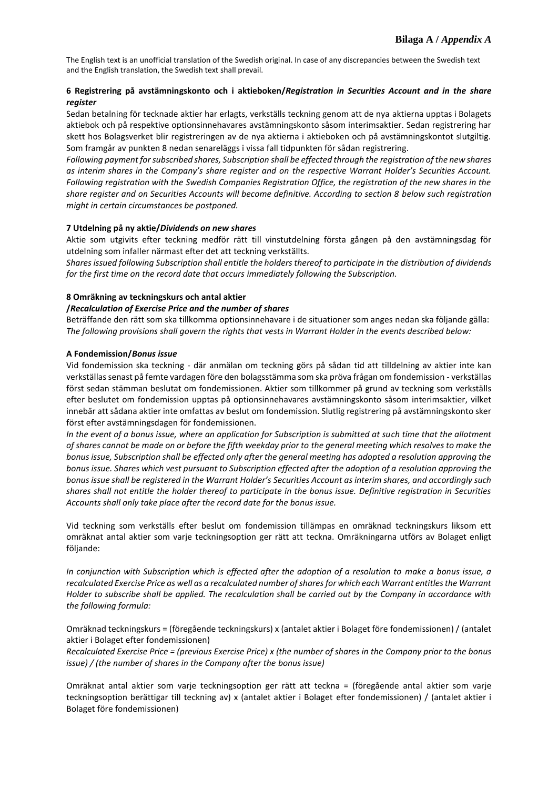# **6 Registrering på avstämningskonto och i aktieboken/***Registration in Securities Account and in the share register*

Sedan betalning för tecknade aktier har erlagts, verkställs teckning genom att de nya aktierna upptas i Bolagets aktiebok och på respektive optionsinnehavares avstämningskonto såsom interimsaktier. Sedan registrering har skett hos Bolagsverket blir registreringen av de nya aktierna i aktieboken och på avstämningskontot slutgiltig. Som framgår av punkten 8 nedan senareläggs i vissa fall tidpunkten för sådan registrering.

*Following payment for subscribed shares, Subscription shall be effected through the registration of the new shares as interim shares in the Company's share register and on the respective Warrant Holder's Securities Account. Following registration with the Swedish Companies Registration Office, the registration of the new shares in the share register and on Securities Accounts will become definitive. According to section 8 below such registration might in certain circumstances be postponed.*

### **7 Utdelning på ny aktie/***Dividends on new shares*

Aktie som utgivits efter teckning medför rätt till vinstutdelning första gången på den avstämningsdag för utdelning som infaller närmast efter det att teckning verkställts.

*Shares issued following Subscription shall entitle the holders thereof to participate in the distribution of dividends for the first time on the record date that occurs immediately following the Subscription.*

# **8 Omräkning av teckningskurs och antal aktier**

## **/***Recalculation of Exercise Price and the number of shares*

Beträffande den rätt som ska tillkomma optionsinnehavare i de situationer som anges nedan ska följande gälla: *The following provisions shall govern the rights that vests in Warrant Holder in the events described below:*

### **A Fondemission/***Bonus issue*

Vid fondemission ska teckning - där anmälan om teckning görs på sådan tid att tilldelning av aktier inte kan verkställas senast på femte vardagen före den bolagsstämma som ska pröva frågan om fondemission - verkställas först sedan stämman beslutat om fondemissionen. Aktier som tillkommer på grund av teckning som verkställs efter beslutet om fondemission upptas på optionsinnehavares avstämningskonto såsom interimsaktier, vilket innebär att sådana aktier inte omfattas av beslut om fondemission. Slutlig registrering på avstämningskonto sker först efter avstämningsdagen för fondemissionen.

*In the event of a bonus issue, where an application for Subscription is submitted at such time that the allotment of shares cannot be made on or before the fifth weekday prior to the general meeting which resolves to make the bonus issue, Subscription shall be effected only after the general meeting has adopted a resolution approving the bonus issue. Shares which vest pursuant to Subscription effected after the adoption of a resolution approving the bonus issue shall be registered in the Warrant Holder's Securities Account as interim shares, and accordingly such shares shall not entitle the holder thereof to participate in the bonus issue. Definitive registration in Securities Accounts shall only take place after the record date for the bonus issue.*

Vid teckning som verkställs efter beslut om fondemission tillämpas en omräknad teckningskurs liksom ett omräknat antal aktier som varje teckningsoption ger rätt att teckna. Omräkningarna utförs av Bolaget enligt följande:

*In conjunction with Subscription which is effected after the adoption of a resolution to make a bonus issue, a recalculated Exercise Price as well as a recalculated number ofshares for which each Warrant entitles the Warrant Holder to subscribe shall be applied. The recalculation shall be carried out by the Company in accordance with the following formula:*

Omräknad teckningskurs = (föregående teckningskurs) x (antalet aktier i Bolaget före fondemissionen) / (antalet aktier i Bolaget efter fondemissionen)

*Recalculated Exercise Price = (previous Exercise Price) x (the number of shares in the Company prior to the bonus issue) / (the number of shares in the Company after the bonus issue)*

Omräknat antal aktier som varje teckningsoption ger rätt att teckna = (föregående antal aktier som varje teckningsoption berättigar till teckning av) x (antalet aktier i Bolaget efter fondemissionen) / (antalet aktier i Bolaget före fondemissionen)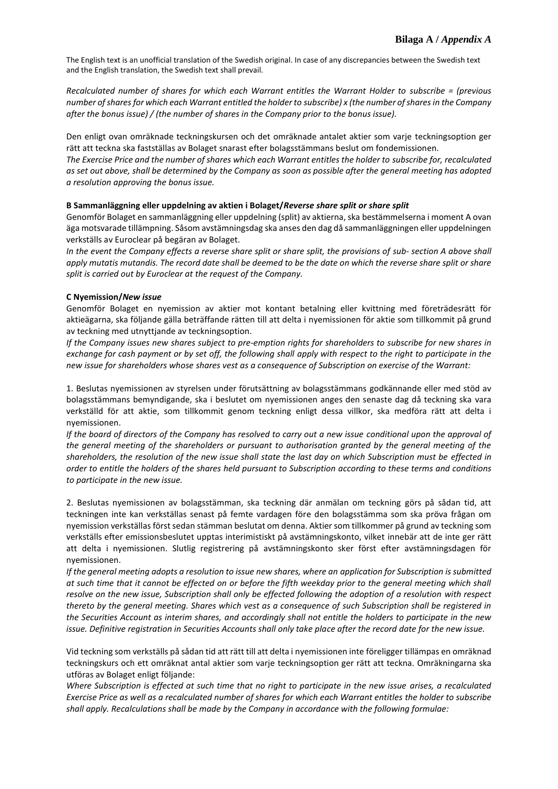*Recalculated number of shares for which each Warrant entitles the Warrant Holder to subscribe = (previous number of shares for which each Warrant entitled the holder to subscribe) x (the number of shares in the Company after the bonus issue) / (the number of shares in the Company prior to the bonus issue).*

Den enligt ovan omräknade teckningskursen och det omräknade antalet aktier som varje teckningsoption ger rätt att teckna ska fastställas av Bolaget snarast efter bolagsstämmans beslut om fondemissionen.

*The Exercise Price and the number of shares which each Warrant entitles the holder to subscribe for, recalculated as set out above, shall be determined by the Company as soon as possible after the general meeting has adopted a resolution approving the bonus issue.*

#### **B Sammanläggning eller uppdelning av aktien i Bolaget/***Reverse share split or share split*

Genomför Bolaget en sammanläggning eller uppdelning (split) av aktierna, ska bestämmelserna i moment A ovan äga motsvarade tillämpning. Såsom avstämningsdag ska anses den dag då sammanläggningen eller uppdelningen verkställs av Euroclear på begäran av Bolaget.

*In the event the Company effects a reverse share split or share split, the provisions of sub- section A above shall apply mutatis mutandis. The record date shall be deemed to be the date on which the reverse share split or share split is carried out by Euroclear at the request of the Company.*

### **C Nyemission/***New issue*

Genomför Bolaget en nyemission av aktier mot kontant betalning eller kvittning med företrädesrätt för aktieägarna, ska följande gälla beträffande rätten till att delta i nyemissionen för aktie som tillkommit på grund av teckning med utnyttjande av teckningsoption.

*If the Company issues new shares subject to pre-emption rights for shareholders to subscribe for new shares in exchange for cash payment or by set off, the following shall apply with respect to the right to participate in the new issue for shareholders whose shares vest as a consequence of Subscription on exercise of the Warrant:*

1. Beslutas nyemissionen av styrelsen under förutsättning av bolagsstämmans godkännande eller med stöd av bolagsstämmans bemyndigande, ska i beslutet om nyemissionen anges den senaste dag då teckning ska vara verkställd för att aktie, som tillkommit genom teckning enligt dessa villkor, ska medföra rätt att delta i nyemissionen.

*If the board of directors of the Company has resolved to carry out a new issue conditional upon the approval of the general meeting of the shareholders or pursuant to authorisation granted by the general meeting of the shareholders, the resolution of the new issue shall state the last day on which Subscription must be effected in order to entitle the holders of the shares held pursuant to Subscription according to these terms and conditions to participate in the new issue.*

2. Beslutas nyemissionen av bolagsstämman, ska teckning där anmälan om teckning görs på sådan tid, att teckningen inte kan verkställas senast på femte vardagen före den bolagsstämma som ska pröva frågan om nyemission verkställas först sedan stämman beslutat om denna. Aktier som tillkommer på grund av teckning som verkställs efter emissionsbeslutet upptas interimistiskt på avstämningskonto, vilket innebär att de inte ger rätt att delta i nyemissionen. Slutlig registrering på avstämningskonto sker först efter avstämningsdagen för nyemissionen.

*If the general meeting adopts a resolution to issue new shares, where an application for Subscription is submitted at such time that it cannot be effected on or before the fifth weekday prior to the general meeting which shall resolve on the new issue, Subscription shall only be effected following the adoption of a resolution with respect thereto by the general meeting. Shares which vest as a consequence of such Subscription shall be registered in the Securities Account as interim shares, and accordingly shall not entitle the holders to participate in the new issue. Definitive registration in Securities Accounts shall only take place after the record date for the new issue.*

Vid teckning som verkställs på sådan tid att rätt till att delta i nyemissionen inte föreligger tillämpas en omräknad teckningskurs och ett omräknat antal aktier som varje teckningsoption ger rätt att teckna. Omräkningarna ska utföras av Bolaget enligt följande:

*Where Subscription is effected at such time that no right to participate in the new issue arises, a recalculated Exercise Price as well as a recalculated number of shares for which each Warrant entitles the holder to subscribe shall apply. Recalculations shall be made by the Company in accordance with the following formulae:*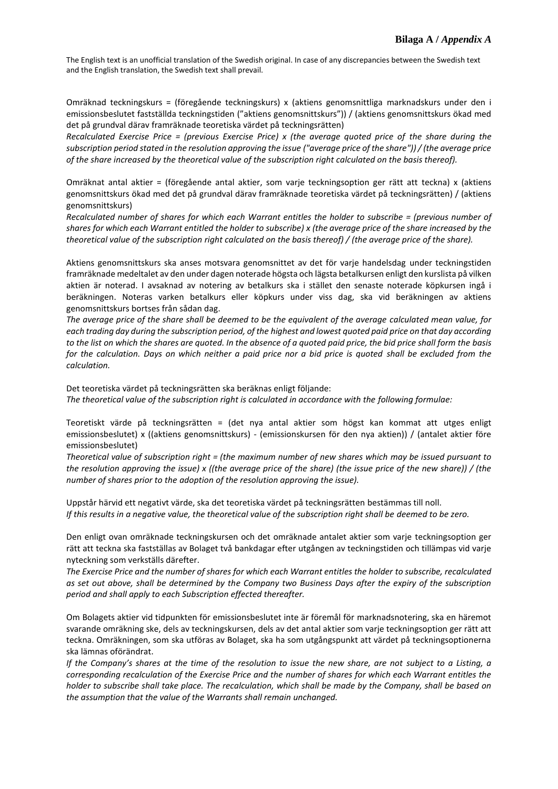Omräknad teckningskurs = (föregående teckningskurs) x (aktiens genomsnittliga marknadskurs under den i emissionsbeslutet fastställda teckningstiden ("aktiens genomsnittskurs")) / (aktiens genomsnittskurs ökad med det på grundval därav framräknade teoretiska värdet på teckningsrätten)

*Recalculated Exercise Price = (previous Exercise Price) x (the average quoted price of the share during the subscription period stated in the resolution approving the issue ("average price of the share")) / (the average price of the share increased by the theoretical value of the subscription right calculated on the basis thereof).*

Omräknat antal aktier = (föregående antal aktier, som varje teckningsoption ger rätt att teckna) x (aktiens genomsnittskurs ökad med det på grundval därav framräknade teoretiska värdet på teckningsrätten) / (aktiens genomsnittskurs)

*Recalculated number of shares for which each Warrant entitles the holder to subscribe = (previous number of shares for which each Warrant entitled the holder to subscribe) x (the average price of the share increased by the theoretical value of the subscription right calculated on the basis thereof) / (the average price of the share).*

Aktiens genomsnittskurs ska anses motsvara genomsnittet av det för varje handelsdag under teckningstiden framräknade medeltalet av den under dagen noterade högsta och lägsta betalkursen enligt den kurslista på vilken aktien är noterad. I avsaknad av notering av betalkurs ska i stället den senaste noterade köpkursen ingå i beräkningen. Noteras varken betalkurs eller köpkurs under viss dag, ska vid beräkningen av aktiens genomsnittskurs bortses från sådan dag.

*The average price of the share shall be deemed to be the equivalent of the average calculated mean value, for each trading day during the subscription period, of the highest and lowest quoted paid price on that day according*  to the list on which the shares are quoted. In the absence of a quoted paid price, the bid price shall form the basis *for the calculation. Days on which neither a paid price nor a bid price is quoted shall be excluded from the calculation.*

Det teoretiska värdet på teckningsrätten ska beräknas enligt följande: *The theoretical value of the subscription right is calculated in accordance with the following formulae:*

Teoretiskt värde på teckningsrätten = (det nya antal aktier som högst kan kommat att utges enligt emissionsbeslutet) x ((aktiens genomsnittskurs) - (emissionskursen för den nya aktien)) / (antalet aktier före emissionsbeslutet)

*Theoretical value of subscription right = (the maximum number of new shares which may be issued pursuant to the resolution approving the issue) x ((the average price of the share) (the issue price of the new share)) / (the number of shares prior to the adoption of the resolution approving the issue).*

Uppstår härvid ett negativt värde, ska det teoretiska värdet på teckningsrätten bestämmas till noll. *If this results in a negative value, the theoretical value of the subscription right shall be deemed to be zero.*

Den enligt ovan omräknade teckningskursen och det omräknade antalet aktier som varje teckningsoption ger rätt att teckna ska fastställas av Bolaget två bankdagar efter utgången av teckningstiden och tillämpas vid varje nyteckning som verkställs därefter.

*The Exercise Price and the number of shares for which each Warrant entitles the holder to subscribe, recalculated as set out above, shall be determined by the Company two Business Days after the expiry of the subscription period and shall apply to each Subscription effected thereafter.*

Om Bolagets aktier vid tidpunkten för emissionsbeslutet inte är föremål för marknadsnotering, ska en häremot svarande omräkning ske, dels av teckningskursen, dels av det antal aktier som varje teckningsoption ger rätt att teckna. Omräkningen, som ska utföras av Bolaget, ska ha som utgångspunkt att värdet på teckningsoptionerna ska lämnas oförändrat.

*If the Company's shares at the time of the resolution to issue the new share, are not subject to a Listing, a corresponding recalculation of the Exercise Price and the number of shares for which each Warrant entitles the holder to subscribe shall take place. The recalculation, which shall be made by the Company, shall be based on the assumption that the value of the Warrants shall remain unchanged.*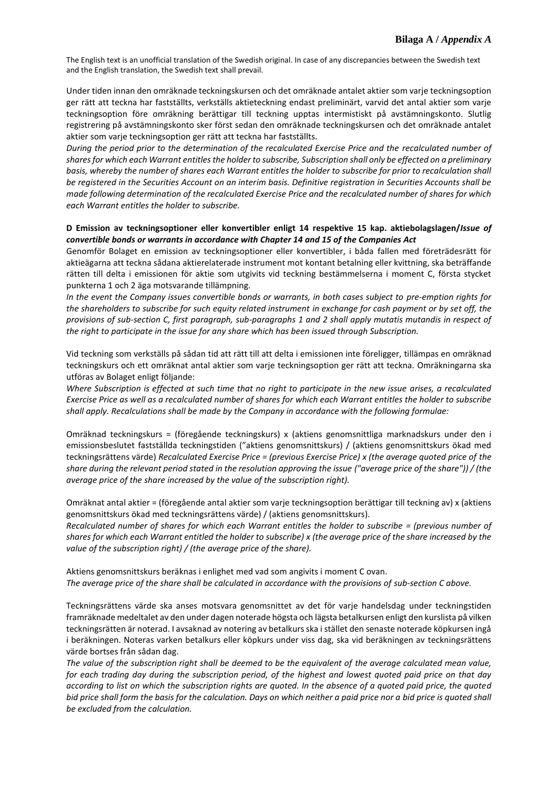Under tiden innan den omräknade teckningskursen och det omräknade antalet aktier som varje teckningsoption ger rätt att teckna har fastställts, verkställs aktieteckning endast preliminärt, varvid det antal aktier som varje teckningsoption före omräkning berättigar till teckning upptas intermistiskt på avstämningskonto. Slutlig registrering på avstämningskonto sker först sedan den omräknade teckningskursen och det omräknade antalet aktier som varje teckningsoption ger rätt att teckna har fastställts.

*During the period prior to the determination of the recalculated Exercise Price and the recalculated number of shares for which each Warrant entitles the holder to subscribe, Subscription shall only be effected on a preliminary basis, whereby the number of shares each Warrant entitles the holder to subscribe for prior to recalculation shall be registered in the Securities Account on an interim basis. Definitive registration in Securities Accounts shall be made following determination of the recalculated Exercise Price and the recalculated number of shares for which each Warrant entitles the holder to subscribe.*

### **D Emission av teckningsoptioner eller konvertibler enligt 14 respektive 15 kap. aktiebolagslagen/***Issue of convertible bonds or warrants in accordance with Chapter 14 and 15 of the Companies Act*

Genomför Bolaget en emission av teckningsoptioner eller konvertibler, i båda fallen med företrädesrätt för aktieägarna att teckna sådana aktierelaterade instrument mot kontant betalning eller kvittning, ska beträffande rätten till delta i emissionen för aktie som utgivits vid teckning bestämmelserna i moment C, första stycket punkterna 1 och 2 äga motsvarande tillämpning.

*In the event the Company issues convertible bonds or warrants, in both cases subject to pre-emption rights for the shareholders to subscribe for such equity related instrument in exchange for cash payment or by set off, the provisions of sub-section C, first paragraph, sub-paragraphs 1 and 2 shall apply mutatis mutandis in respect of the right to participate in the issue for any share which has been issued through Subscription.*

Vid teckning som verkställs på sådan tid att rätt till att delta i emissionen inte föreligger, tillämpas en omräknad teckningskurs och ett omräknat antal aktier som varje teckningsoption ger rätt att teckna. Omräkningarna ska utföras av Bolaget enligt följande:

*Where Subscription is effected at such time that no right to participate in the new issue arises, a recalculated Exercise Price as well as a recalculated number of shares for which each Warrant entitles the holder to subscribe shall apply. Recalculations shall be made by the Company in accordance with the following formulae:*

Omräknad teckningskurs = (föregående teckningskurs) x (aktiens genomsnittliga marknadskurs under den i emissionsbeslutet fastställda teckningstiden ("aktiens genomsnittskurs) / (aktiens genomsnittskurs ökad med teckningsrättens värde) *Recalculated Exercise Price = (previous Exercise Price) x (the average quoted price of the share during the relevant period stated in the resolution approving the issue ("average price of the share")) / (the average price of the share increased by the value of the subscription right).*

Omräknat antal aktier = (föregående antal aktier som varje teckningsoption berättigar till teckning av) x (aktiens genomsnittskurs ökad med teckningsrättens värde) / (aktiens genomsnittskurs).

*Recalculated number of shares for which each Warrant entitles the holder to subscribe = (previous number of shares for which each Warrant entitled the holder to subscribe) x (the average price of the share increased by the value of the subscription right) / (the average price of the share).*

Aktiens genomsnittskurs beräknas i enlighet med vad som angivits i moment C ovan. *The average price of the share shall be calculated in accordance with the provisions of sub-section C above.*

Teckningsrättens värde ska anses motsvara genomsnittet av det för varje handelsdag under teckningstiden framräknade medeltalet av den under dagen noterade högsta och lägsta betalkursen enligt den kurslista på vilken teckningsrätten är noterad. I avsaknad av notering av betalkurs ska i stället den senaste noterade köpkursen ingå i beräkningen. Noteras varken betalkurs eller köpkurs under viss dag, ska vid beräkningen av teckningsrättens värde bortses från sådan dag.

*The value of the subscription right shall be deemed to be the equivalent of the average calculated mean value, for each trading day during the subscription period, of the highest and lowest quoted paid price on that day according to list on which the subscription rights are quoted. In the absence of a quoted paid price, the quoted bid price shall form the basis for the calculation. Days on which neither a paid price nor a bid price is quoted shall be excluded from the calculation.*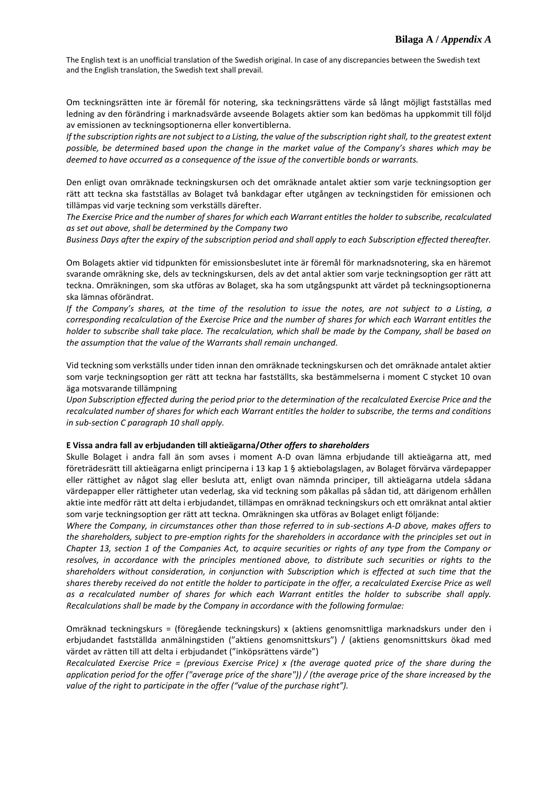Om teckningsrätten inte är föremål för notering, ska teckningsrättens värde så långt möjligt fastställas med ledning av den förändring i marknadsvärde avseende Bolagets aktier som kan bedömas ha uppkommit till följd av emissionen av teckningsoptionerna eller konvertiblerna.

*If the subscription rights are not subject to a Listing, the value of the subscription right shall, to the greatest extent possible, be determined based upon the change in the market value of the Company's shares which may be deemed to have occurred as a consequence of the issue of the convertible bonds or warrants.*

Den enligt ovan omräknade teckningskursen och det omräknade antalet aktier som varje teckningsoption ger rätt att teckna ska fastställas av Bolaget två bankdagar efter utgången av teckningstiden för emissionen och tillämpas vid varje teckning som verkställs därefter.

*The Exercise Price and the number of shares for which each Warrant entitles the holder to subscribe, recalculated as set out above, shall be determined by the Company two*

*Business Days after the expiry of the subscription period and shall apply to each Subscription effected thereafter.*

Om Bolagets aktier vid tidpunkten för emissionsbeslutet inte är föremål för marknadsnotering, ska en häremot svarande omräkning ske, dels av teckningskursen, dels av det antal aktier som varje teckningsoption ger rätt att teckna. Omräkningen, som ska utföras av Bolaget, ska ha som utgångspunkt att värdet på teckningsoptionerna ska lämnas oförändrat.

*If the Company's shares, at the time of the resolution to issue the notes, are not subject to a Listing, a corresponding recalculation of the Exercise Price and the number of shares for which each Warrant entitles the holder to subscribe shall take place. The recalculation, which shall be made by the Company, shall be based on the assumption that the value of the Warrants shall remain unchanged.*

Vid teckning som verkställs under tiden innan den omräknade teckningskursen och det omräknade antalet aktier som varje teckningsoption ger rätt att teckna har fastställts, ska bestämmelserna i moment C stycket 10 ovan äga motsvarande tillämpning

*Upon Subscription effected during the period prior to the determination of the recalculated Exercise Price and the recalculated number of shares for which each Warrant entitles the holder to subscribe, the terms and conditions in sub-section C paragraph 10 shall apply.*

#### **E Vissa andra fall av erbjudanden till aktieägarna/***Other offers to shareholders*

Skulle Bolaget i andra fall än som avses i moment A-D ovan lämna erbjudande till aktieägarna att, med företrädesrätt till aktieägarna enligt principerna i 13 kap 1 § aktiebolagslagen, av Bolaget förvärva värdepapper eller rättighet av något slag eller besluta att, enligt ovan nämnda principer, till aktieägarna utdela sådana värdepapper eller rättigheter utan vederlag, ska vid teckning som påkallas på sådan tid, att därigenom erhållen aktie inte medför rätt att delta i erbjudandet, tillämpas en omräknad teckningskurs och ett omräknat antal aktier som varje teckningsoption ger rätt att teckna. Omräkningen ska utföras av Bolaget enligt följande:

*Where the Company, in circumstances other than those referred to in sub-sections A-D above, makes offers to the shareholders, subject to pre-emption rights for the shareholders in accordance with the principles set out in Chapter 13, section 1 of the Companies Act, to acquire securities or rights of any type from the Company or resolves, in accordance with the principles mentioned above, to distribute such securities or rights to the shareholders without consideration, in conjunction with Subscription which is effected at such time that the shares thereby received do not entitle the holder to participate in the offer, a recalculated Exercise Price as well as a recalculated number of shares for which each Warrant entitles the holder to subscribe shall apply. Recalculations shall be made by the Company in accordance with the following formulae:*

Omräknad teckningskurs = (föregående teckningskurs) x (aktiens genomsnittliga marknadskurs under den i erbjudandet fastställda anmälningstiden ("aktiens genomsnittskurs") / (aktiens genomsnittskurs ökad med värdet av rätten till att delta i erbjudandet ("inköpsrättens värde")

*Recalculated Exercise Price = (previous Exercise Price) x (the average quoted price of the share during the application period for the offer ("average price of the share")) / (the average price of the share increased by the value of the right to participate in the offer ("value of the purchase right").*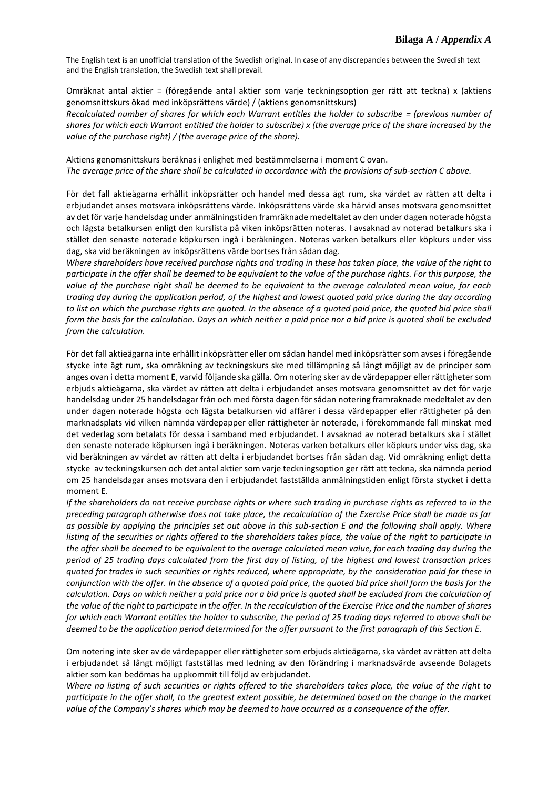Omräknat antal aktier = (föregående antal aktier som varje teckningsoption ger rätt att teckna) x (aktiens genomsnittskurs ökad med inköpsrättens värde) / (aktiens genomsnittskurs)

*Recalculated number of shares for which each Warrant entitles the holder to subscribe = (previous number of shares for which each Warrant entitled the holder to subscribe) x (the average price of the share increased by the value of the purchase right) / (the average price of the share).*

Aktiens genomsnittskurs beräknas i enlighet med bestämmelserna i moment C ovan. *The average price of the share shall be calculated in accordance with the provisions of sub-section C above.*

För det fall aktieägarna erhållit inköpsrätter och handel med dessa ägt rum, ska värdet av rätten att delta i erbjudandet anses motsvara inköpsrättens värde. Inköpsrättens värde ska härvid anses motsvara genomsnittet av det för varje handelsdag under anmälningstiden framräknade medeltalet av den under dagen noterade högsta och lägsta betalkursen enligt den kurslista på viken inköpsrätten noteras. I avsaknad av noterad betalkurs ska i stället den senaste noterade köpkursen ingå i beräkningen. Noteras varken betalkurs eller köpkurs under viss dag, ska vid beräkningen av inköpsrättens värde bortses från sådan dag.

*Where shareholders have received purchase rights and trading in these has taken place, the value of the right to participate in the offer shall be deemed to be equivalent to the value of the purchase rights. For this purpose, the value of the purchase right shall be deemed to be equivalent to the average calculated mean value, for each trading day during the application period, of the highest and lowest quoted paid price during the day according to list on which the purchase rights are quoted. In the absence of a quoted paid price, the quoted bid price shall form the basis for the calculation. Days on which neither a paid price nor a bid price is quoted shall be excluded from the calculation.*

För det fall aktieägarna inte erhållit inköpsrätter eller om sådan handel med inköpsrätter som avses i föregående stycke inte ägt rum, ska omräkning av teckningskurs ske med tillämpning så långt möjligt av de principer som anges ovan i detta moment E, varvid följande ska gälla. Om notering sker av de värdepapper eller rättigheter som erbjuds aktieägarna, ska värdet av rätten att delta i erbjudandet anses motsvara genomsnittet av det för varje handelsdag under 25 handelsdagar från och med första dagen för sådan notering framräknade medeltalet av den under dagen noterade högsta och lägsta betalkursen vid affärer i dessa värdepapper eller rättigheter på den marknadsplats vid vilken nämnda värdepapper eller rättigheter är noterade, i förekommande fall minskat med det vederlag som betalats för dessa i samband med erbjudandet. I avsaknad av noterad betalkurs ska i stället den senaste noterade köpkursen ingå i beräkningen. Noteras varken betalkurs eller köpkurs under viss dag, ska vid beräkningen av värdet av rätten att delta i erbjudandet bortses från sådan dag. Vid omräkning enligt detta stycke av teckningskursen och det antal aktier som varje teckningsoption ger rätt att teckna, ska nämnda period om 25 handelsdagar anses motsvara den i erbjudandet fastställda anmälningstiden enligt första stycket i detta moment E.

*If the shareholders do not receive purchase rights or where such trading in purchase rights as referred to in the preceding paragraph otherwise does not take place, the recalculation of the Exercise Price shall be made as far as possible by applying the principles set out above in this sub-section E and the following shall apply. Where listing of the securities or rights offered to the shareholders takes place, the value of the right to participate in the offer shall be deemed to be equivalent to the average calculated mean value, for each trading day during the period of 25 trading days calculated from the first day of listing, of the highest and lowest transaction prices quoted for trades in such securities or rights reduced, where appropriate, by the consideration paid for these in conjunction with the offer. In the absence of a quoted paid price, the quoted bid price shall form the basis for the calculation. Days on which neither a paid price nor a bid price is quoted shall be excluded from the calculation of the value of the right to participate in the offer. In the recalculation of the Exercise Price and the number of shares for which each Warrant entitles the holder to subscribe, the period of 25 trading days referred to above shall be deemed to be the application period determined for the offer pursuant to the first paragraph of this Section E.*

Om notering inte sker av de värdepapper eller rättigheter som erbjuds aktieägarna, ska värdet av rätten att delta i erbjudandet så långt möjligt fastställas med ledning av den förändring i marknadsvärde avseende Bolagets aktier som kan bedömas ha uppkommit till följd av erbjudandet.

*Where no listing of such securities or rights offered to the shareholders takes place, the value of the right to participate in the offer shall, to the greatest extent possible, be determined based on the change in the market value of the Company's shares which may be deemed to have occurred as a consequence of the offer.*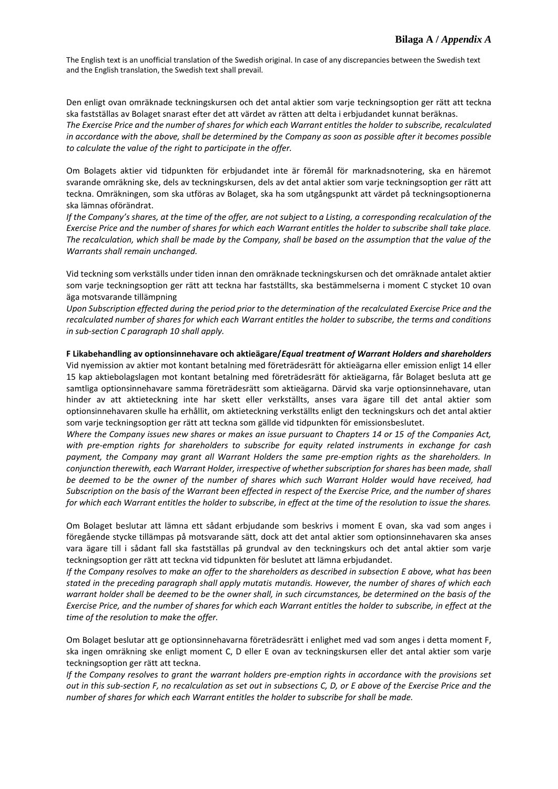Den enligt ovan omräknade teckningskursen och det antal aktier som varje teckningsoption ger rätt att teckna ska fastställas av Bolaget snarast efter det att värdet av rätten att delta i erbjudandet kunnat beräknas. *The Exercise Price and the number of shares for which each Warrant entitles the holder to subscribe, recalculated in accordance with the above, shall be determined by the Company as soon as possible after it becomes possible to calculate the value of the right to participate in the offer.*

Om Bolagets aktier vid tidpunkten för erbjudandet inte är föremål för marknadsnotering, ska en häremot svarande omräkning ske, dels av teckningskursen, dels av det antal aktier som varje teckningsoption ger rätt att teckna. Omräkningen, som ska utföras av Bolaget, ska ha som utgångspunkt att värdet på teckningsoptionerna ska lämnas oförändrat.

*If the Company's shares, at the time of the offer, are not subject to a Listing, a corresponding recalculation of the Exercise Price and the number of shares for which each Warrant entitles the holder to subscribe shall take place. The recalculation, which shall be made by the Company, shall be based on the assumption that the value of the Warrants shall remain unchanged.*

Vid teckning som verkställs under tiden innan den omräknade teckningskursen och det omräknade antalet aktier som varje teckningsoption ger rätt att teckna har fastställts, ska bestämmelserna i moment C stycket 10 ovan äga motsvarande tillämpning

*Upon Subscription effected during the period prior to the determination of the recalculated Exercise Price and the recalculated number of shares for which each Warrant entitles the holder to subscribe, the terms and conditions in sub-section C paragraph 10 shall apply.*

### **F Likabehandling av optionsinnehavare och aktieägare/***Equal treatment of Warrant Holders and shareholders*

Vid nyemission av aktier mot kontant betalning med företrädesrätt för aktieägarna eller emission enligt 14 eller 15 kap aktiebolagslagen mot kontant betalning med företrädesrätt för aktieägarna, får Bolaget besluta att ge samtliga optionsinnehavare samma företrädesrätt som aktieägarna. Därvid ska varje optionsinnehavare, utan hinder av att aktieteckning inte har skett eller verkställts, anses vara ägare till det antal aktier som optionsinnehavaren skulle ha erhållit, om aktieteckning verkställts enligt den teckningskurs och det antal aktier som varje teckningsoption ger rätt att teckna som gällde vid tidpunkten för emissionsbeslutet.

*Where the Company issues new shares or makes an issue pursuant to Chapters 14 or 15 of the Companies Act, with pre-emption rights for shareholders to subscribe for equity related instruments in exchange for cash payment, the Company may grant all Warrant Holders the same pre-emption rights as the shareholders. In conjunction therewith, each Warrant Holder, irrespective of whether subscription for shares has been made, shall be deemed to be the owner of the number of shares which such Warrant Holder would have received, had Subscription on the basis of the Warrant been effected in respect of the Exercise Price, and the number of shares for which each Warrant entitles the holder to subscribe, in effect at the time of the resolution to issue the shares.*

Om Bolaget beslutar att lämna ett sådant erbjudande som beskrivs i moment E ovan, ska vad som anges i föregående stycke tillämpas på motsvarande sätt, dock att det antal aktier som optionsinnehavaren ska anses vara ägare till i sådant fall ska fastställas på grundval av den teckningskurs och det antal aktier som varje teckningsoption ger rätt att teckna vid tidpunkten för beslutet att lämna erbjudandet.

*If the Company resolves to make an offer to the shareholders as described in subsection E above, what has been stated in the preceding paragraph shall apply mutatis mutandis. However, the number of shares of which each warrant holder shall be deemed to be the owner shall, in such circumstances, be determined on the basis of the Exercise Price, and the number of shares for which each Warrant entitles the holder to subscribe, in effect at the time of the resolution to make the offer.*

Om Bolaget beslutar att ge optionsinnehavarna företrädesrätt i enlighet med vad som anges i detta moment F, ska ingen omräkning ske enligt moment C, D eller E ovan av teckningskursen eller det antal aktier som varje teckningsoption ger rätt att teckna.

*If the Company resolves to grant the warrant holders pre-emption rights in accordance with the provisions set out in this sub-section F, no recalculation as set out in subsections C, D, or E above of the Exercise Price and the number of shares for which each Warrant entitles the holder to subscribe for shall be made.*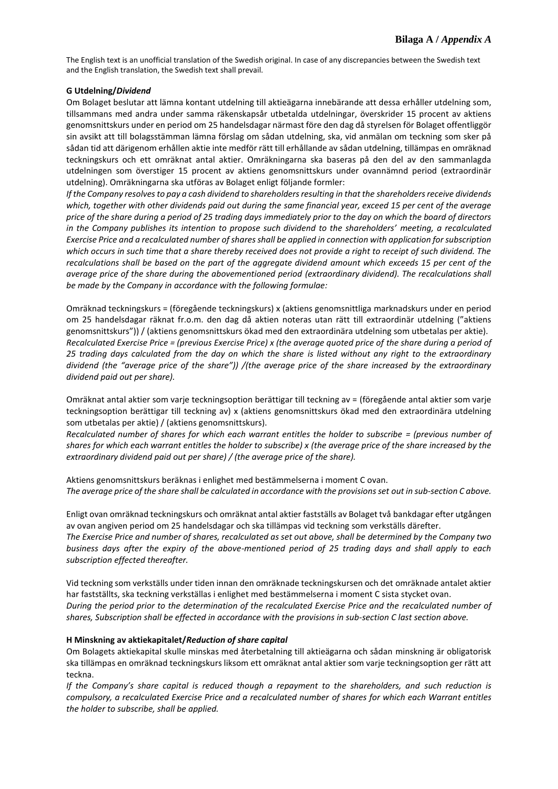# **G Utdelning/***Dividend*

Om Bolaget beslutar att lämna kontant utdelning till aktieägarna innebärande att dessa erhåller utdelning som, tillsammans med andra under samma räkenskapsår utbetalda utdelningar, överskrider 15 procent av aktiens genomsnittskurs under en period om 25 handelsdagar närmast före den dag då styrelsen för Bolaget offentliggör sin avsikt att till bolagsstämman lämna förslag om sådan utdelning, ska, vid anmälan om teckning som sker på sådan tid att därigenom erhållen aktie inte medför rätt till erhållande av sådan utdelning, tillämpas en omräknad teckningskurs och ett omräknat antal aktier. Omräkningarna ska baseras på den del av den sammanlagda utdelningen som överstiger 15 procent av aktiens genomsnittskurs under ovannämnd period (extraordinär utdelning). Omräkningarna ska utföras av Bolaget enligt följande formler:

*If the Company resolves to pay a cash dividend to shareholders resulting in that the shareholders receive dividends which, together with other dividends paid out during the same financial year, exceed 15 per cent of the average price of the share during a period of 25 trading days immediately prior to the day on which the board of directors in the Company publishes its intention to propose such dividend to the shareholders' meeting, a recalculated Exercise Price and a recalculated number of shares shall be applied in connection with application for subscription which occurs in such time that a share thereby received does not provide a right to receipt of such dividend. The recalculations shall be based on the part of the aggregate dividend amount which exceeds 15 per cent of the average price of the share during the abovementioned period (extraordinary dividend). The recalculations shall be made by the Company in accordance with the following formulae:*

Omräknad teckningskurs = (föregående teckningskurs) x (aktiens genomsnittliga marknadskurs under en period om 25 handelsdagar räknat fr.o.m. den dag då aktien noteras utan rätt till extraordinär utdelning ("aktiens genomsnittskurs")) / (aktiens genomsnittskurs ökad med den extraordinära utdelning som utbetalas per aktie). *Recalculated Exercise Price = (previous Exercise Price) x (the average quoted price of the share during a period of 25 trading days calculated from the day on which the share is listed without any right to the extraordinary dividend (the "average price of the share")) /(the average price of the share increased by the extraordinary dividend paid out per share).*

Omräknat antal aktier som varje teckningsoption berättigar till teckning av = (föregående antal aktier som varje teckningsoption berättigar till teckning av) x (aktiens genomsnittskurs ökad med den extraordinära utdelning som utbetalas per aktie) / (aktiens genomsnittskurs).

*Recalculated number of shares for which each warrant entitles the holder to subscribe = (previous number of shares for which each warrant entitles the holder to subscribe) x (the average price of the share increased by the extraordinary dividend paid out per share) / (the average price of the share).*

Aktiens genomsnittskurs beräknas i enlighet med bestämmelserna i moment C ovan. *The average price of the share shall be calculated in accordance with the provisions set out in sub-section C above.*

Enligt ovan omräknad teckningskurs och omräknat antal aktier fastställs av Bolaget två bankdagar efter utgången av ovan angiven period om 25 handelsdagar och ska tillämpas vid teckning som verkställs därefter.

*The Exercise Price and number of shares, recalculated as set out above, shall be determined by the Company two business days after the expiry of the above-mentioned period of 25 trading days and shall apply to each subscription effected thereafter.*

Vid teckning som verkställs under tiden innan den omräknade teckningskursen och det omräknade antalet aktier har fastställts, ska teckning verkställas i enlighet med bestämmelserna i moment C sista stycket ovan. *During the period prior to the determination of the recalculated Exercise Price and the recalculated number of shares, Subscription shall be effected in accordance with the provisions in sub-section C last section above.*

# **H Minskning av aktiekapitalet/***Reduction of share capital*

Om Bolagets aktiekapital skulle minskas med återbetalning till aktieägarna och sådan minskning är obligatorisk ska tillämpas en omräknad teckningskurs liksom ett omräknat antal aktier som varje teckningsoption ger rätt att teckna.

*If the Company's share capital is reduced though a repayment to the shareholders, and such reduction is compulsory, a recalculated Exercise Price and a recalculated number of shares for which each Warrant entitles the holder to subscribe, shall be applied.*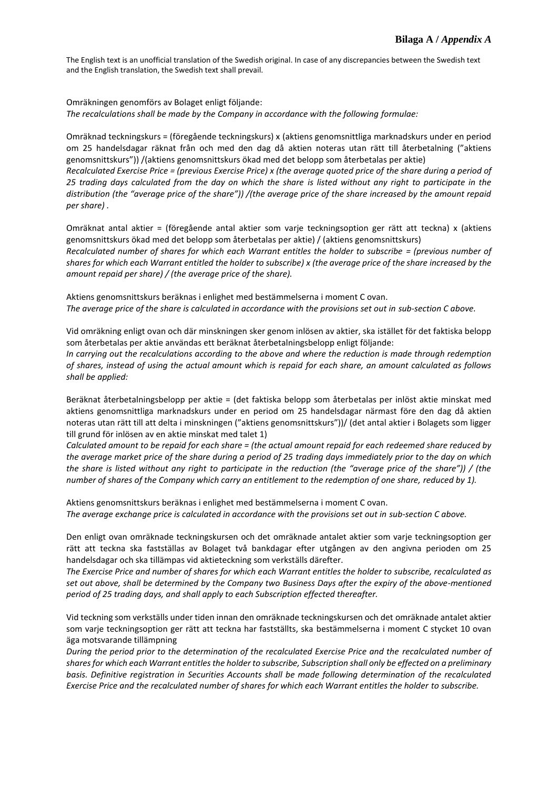Omräkningen genomförs av Bolaget enligt följande: *The recalculations shall be made by the Company in accordance with the following formulae:*

Omräknad teckningskurs = (föregående teckningskurs) x (aktiens genomsnittliga marknadskurs under en period om 25 handelsdagar räknat från och med den dag då aktien noteras utan rätt till återbetalning ("aktiens genomsnittskurs")) /(aktiens genomsnittskurs ökad med det belopp som återbetalas per aktie) *Recalculated Exercise Price = (previous Exercise Price) x (the average quoted price of the share during a period of 25 trading days calculated from the day on which the share is listed without any right to participate in the distribution (the "average price of the share")) /(the average price of the share increased by the amount repaid per share) .*

Omräknat antal aktier = (föregående antal aktier som varje teckningsoption ger rätt att teckna) x (aktiens genomsnittskurs ökad med det belopp som återbetalas per aktie) / (aktiens genomsnittskurs) *Recalculated number of shares for which each Warrant entitles the holder to subscribe = (previous number of shares for which each Warrant entitled the holder to subscribe) x (the average price of the share increased by the amount repaid per share) / (the average price of the share).*

Aktiens genomsnittskurs beräknas i enlighet med bestämmelserna i moment C ovan. *The average price of the share is calculated in accordance with the provisions set out in sub-section C above.*

Vid omräkning enligt ovan och där minskningen sker genom inlösen av aktier, ska istället för det faktiska belopp som återbetalas per aktie användas ett beräknat återbetalningsbelopp enligt följande:

*In carrying out the recalculations according to the above and where the reduction is made through redemption of shares, instead of using the actual amount which is repaid for each share, an amount calculated as follows shall be applied:*

Beräknat återbetalningsbelopp per aktie = (det faktiska belopp som återbetalas per inlöst aktie minskat med aktiens genomsnittliga marknadskurs under en period om 25 handelsdagar närmast före den dag då aktien noteras utan rätt till att delta i minskningen ("aktiens genomsnittskurs"))/ (det antal aktier i Bolagets som ligger till grund för inlösen av en aktie minskat med talet 1)

*Calculated amount to be repaid for each share = (the actual amount repaid for each redeemed share reduced by the average market price of the share during a period of 25 trading days immediately prior to the day on which the share is listed without any right to participate in the reduction (the "average price of the share")) / (the number of shares of the Company which carry an entitlement to the redemption of one share, reduced by 1).*

Aktiens genomsnittskurs beräknas i enlighet med bestämmelserna i moment C ovan. The average exchange price is calculated in accordance with the provisions set out in *sub-section C above*.

Den enligt ovan omräknade teckningskursen och det omräknade antalet aktier som varje teckningsoption ger rätt att teckna ska fastställas av Bolaget två bankdagar efter utgången av den angivna perioden om 25 handelsdagar och ska tillämpas vid aktieteckning som verkställs därefter.

*The Exercise Price and number of shares for which each Warrant entitles the holder to subscribe, recalculated as set out above, shall be determined by the Company two Business Days after the expiry of the above-mentioned period of 25 trading days, and shall apply to each Subscription effected thereafter.*

Vid teckning som verkställs under tiden innan den omräknade teckningskursen och det omräknade antalet aktier som varje teckningsoption ger rätt att teckna har fastställts, ska bestämmelserna i moment C stycket 10 ovan äga motsvarande tillämpning

*During the period prior to the determination of the recalculated Exercise Price and the recalculated number of shares for which each Warrant entitles the holder to subscribe, Subscription shall only be effected on a preliminary basis. Definitive registration in Securities Accounts shall be made following determination of the recalculated Exercise Price and the recalculated number of shares for which each Warrant entitles the holder to subscribe.*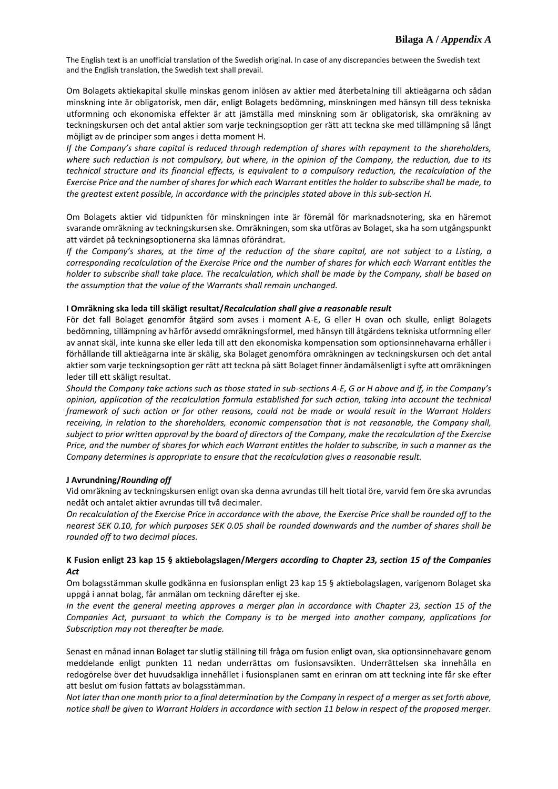Om Bolagets aktiekapital skulle minskas genom inlösen av aktier med återbetalning till aktieägarna och sådan minskning inte är obligatorisk, men där, enligt Bolagets bedömning, minskningen med hänsyn till dess tekniska utformning och ekonomiska effekter är att jämställa med minskning som är obligatorisk, ska omräkning av teckningskursen och det antal aktier som varje teckningsoption ger rätt att teckna ske med tillämpning så långt möjligt av de principer som anges i detta moment H.

*If the Company's share capital is reduced through redemption of shares with repayment to the shareholders, where such reduction is not compulsory, but where, in the opinion of the Company, the reduction, due to its technical structure and its financial effects, is equivalent to a compulsory reduction, the recalculation of the Exercise Price and the number of shares for which each Warrant entitles the holder to subscribe shall be made, to the greatest extent possible, in accordance with the principles stated above in this sub-section H.* 

Om Bolagets aktier vid tidpunkten för minskningen inte är föremål för marknadsnotering, ska en häremot svarande omräkning av teckningskursen ske. Omräkningen, som ska utföras av Bolaget, ska ha som utgångspunkt att värdet på teckningsoptionerna ska lämnas oförändrat.

*If the Company's shares, at the time of the reduction of the share capital, are not subject to a Listing, a corresponding recalculation of the Exercise Price and the number of shares for which each Warrant entitles the holder to subscribe shall take place. The recalculation, which shall be made by the Company, shall be based on the assumption that the value of the Warrants shall remain unchanged.*

### **I Omräkning ska leda till skäligt resultat/***Recalculation shall give a reasonable result*

För det fall Bolaget genomför åtgärd som avses i moment A-E, G eller H ovan och skulle, enligt Bolagets bedömning, tillämpning av härför avsedd omräkningsformel, med hänsyn till åtgärdens tekniska utformning eller av annat skäl, inte kunna ske eller leda till att den ekonomiska kompensation som optionsinnehavarna erhåller i förhållande till aktieägarna inte är skälig, ska Bolaget genomföra omräkningen av teckningskursen och det antal aktier som varje teckningsoption ger rätt att teckna på sätt Bolaget finner ändamålsenligt i syfte att omräkningen leder till ett skäligt resultat.

*Should the Company take actions such as those stated in sub-sections A-E, G or H above and if, in the Company's opinion, application of the recalculation formula established for such action, taking into account the technical framework of such action or for other reasons, could not be made or would result in the Warrant Holders receiving, in relation to the shareholders, economic compensation that is not reasonable, the Company shall, subject to prior written approval by the board of directors of the Company, make the recalculation of the Exercise Price, and the number of shares for which each Warrant entitles the holder to subscribe, in such a manner as the Company determines is appropriate to ensure that the recalculation gives a reasonable result.*

#### **J Avrundning/***Rounding off*

Vid omräkning av teckningskursen enligt ovan ska denna avrundas till helt tiotal öre, varvid fem öre ska avrundas nedåt och antalet aktier avrundas till två decimaler.

*On recalculation of the Exercise Price in accordance with the above, the Exercise Price shall be rounded off to the nearest SEK 0.10, for which purposes SEK 0.05 shall be rounded downwards and the number of shares shall be rounded off to two decimal places.*

# **K Fusion enligt 23 kap 15 § aktiebolagslagen/***Mergers according to Chapter 23, section 15 of the Companies Act*

Om bolagsstämman skulle godkänna en fusionsplan enligt 23 kap 15 § aktiebolagslagen, varigenom Bolaget ska uppgå i annat bolag, får anmälan om teckning därefter ej ske.

*In the event the general meeting approves a merger plan in accordance with Chapter 23, section 15 of the Companies Act, pursuant to which the Company is to be merged into another company, applications for Subscription may not thereafter be made.*

Senast en månad innan Bolaget tar slutlig ställning till fråga om fusion enligt ovan, ska optionsinnehavare genom meddelande enligt punkten 11 nedan underrättas om fusionsavsikten. Underrättelsen ska innehålla en redogörelse över det huvudsakliga innehållet i fusionsplanen samt en erinran om att teckning inte får ske efter att beslut om fusion fattats av bolagsstämman.

*Not later than one month prior to a final determination by the Company in respect of a merger as set forth above, notice shall be given to Warrant Holders in accordance with section 11 below in respect of the proposed merger.*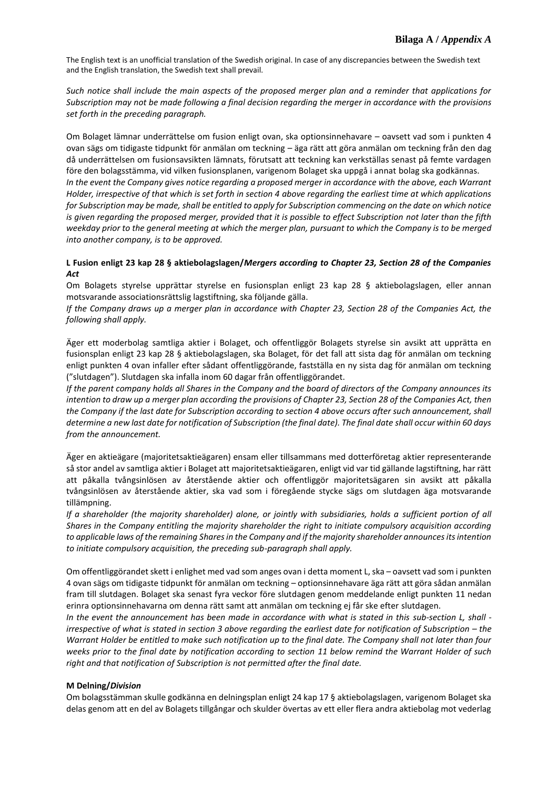*Such notice shall include the main aspects of the proposed merger plan and a reminder that applications for Subscription may not be made following a final decision regarding the merger in accordance with the provisions set forth in the preceding paragraph.*

Om Bolaget lämnar underrättelse om fusion enligt ovan, ska optionsinnehavare – oavsett vad som i punkten 4 ovan sägs om tidigaste tidpunkt för anmälan om teckning – äga rätt att göra anmälan om teckning från den dag då underrättelsen om fusionsavsikten lämnats, förutsatt att teckning kan verkställas senast på femte vardagen före den bolagsstämma, vid vilken fusionsplanen, varigenom Bolaget ska uppgå i annat bolag ska godkännas.

*In the event the Company gives notice regarding a proposed merger in accordance with the above, each Warrant Holder, irrespective of that which is set forth in section 4 above regarding the earliest time at which applications for Subscription may be made, shall be entitled to apply for Subscription commencing on the date on which notice is given regarding the proposed merger, provided that it is possible to effect Subscription not later than the fifth weekday prior to the general meeting at which the merger plan, pursuant to which the Company is to be merged into another company, is to be approved.*

# **L Fusion enligt 23 kap 28 § aktiebolagslagen/***Mergers according to Chapter 23, Section 28 of the Companies Act*

Om Bolagets styrelse upprättar styrelse en fusionsplan enligt 23 kap 28 § aktiebolagslagen, eller annan motsvarande associationsrättslig lagstiftning, ska följande gälla.

*If the Company draws up a merger plan in accordance with Chapter 23, Section 28 of the Companies Act, the following shall apply.*

Äger ett moderbolag samtliga aktier i Bolaget, och offentliggör Bolagets styrelse sin avsikt att upprätta en fusionsplan enligt 23 kap 28 § aktiebolagslagen, ska Bolaget, för det fall att sista dag för anmälan om teckning enligt punkten 4 ovan infaller efter sådant offentliggörande, fastställa en ny sista dag för anmälan om teckning ("slutdagen"). Slutdagen ska infalla inom 60 dagar från offentliggörandet.

*If the parent company holds all Shares in the Company and the board of directors of the Company announces its intention to draw up a merger plan according the provisions of Chapter 23, Section 28 of the Companies Act, then the Company if the last date for Subscription according to section 4 above occurs after such announcement, shall determine a new last date for notification of Subscription (the final date). The final date shall occur within 60 days from the announcement.*

Äger en aktieägare (majoritetsaktieägaren) ensam eller tillsammans med dotterföretag aktier representerande så stor andel av samtliga aktier i Bolaget att majoritetsaktieägaren, enligt vid var tid gällande lagstiftning, har rätt att påkalla tvångsinlösen av återstående aktier och offentliggör majoritetsägaren sin avsikt att påkalla tvångsinlösen av återstående aktier, ska vad som i föregående stycke sägs om slutdagen äga motsvarande tillämpning.

*If a shareholder (the majority shareholder) alone, or jointly with subsidiaries, holds a sufficient portion of all Shares in the Company entitling the majority shareholder the right to initiate compulsory acquisition according to applicable laws of the remaining Shares in the Company and if the majority shareholder announces its intention to initiate compulsory acquisition, the preceding sub-paragraph shall apply.*

Om offentliggörandet skett i enlighet med vad som anges ovan i detta moment L, ska – oavsett vad som i punkten 4 ovan sägs om tidigaste tidpunkt för anmälan om teckning – optionsinnehavare äga rätt att göra sådan anmälan fram till slutdagen. Bolaget ska senast fyra veckor före slutdagen genom meddelande enligt punkten 11 nedan erinra optionsinnehavarna om denna rätt samt att anmälan om teckning ej får ske efter slutdagen.

*In the event the announcement has been made in accordance with what is stated in this sub-section L, shall irrespective of what is stated in section 3 above regarding the earliest date for notification of Subscription – the Warrant Holder be entitled to make such notification up to the final date. The Company shall not later than four weeks prior to the final date by notification according to section 11 below remind the Warrant Holder of such right and that notification of Subscription is not permitted after the final date.*

# **M Delning/***Division*

Om bolagsstämman skulle godkänna en delningsplan enligt 24 kap 17 § aktiebolagslagen, varigenom Bolaget ska delas genom att en del av Bolagets tillgångar och skulder övertas av ett eller flera andra aktiebolag mot vederlag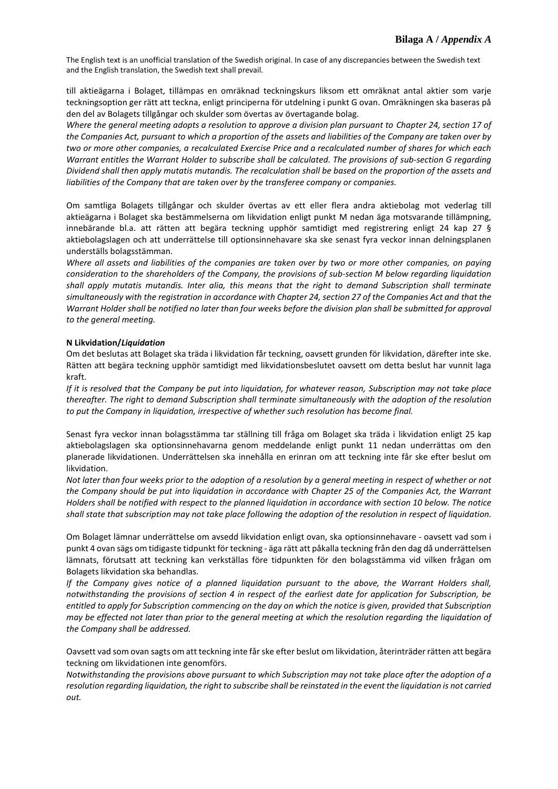till aktieägarna i Bolaget, tillämpas en omräknad teckningskurs liksom ett omräknat antal aktier som varje teckningsoption ger rätt att teckna, enligt principerna för utdelning i punkt G ovan. Omräkningen ska baseras på den del av Bolagets tillgångar och skulder som övertas av övertagande bolag.

*Where the general meeting adopts a resolution to approve a division plan pursuant to Chapter 24, section 17 of the Companies Act, pursuant to which a proportion of the assets and liabilities of the Company are taken over by two or more other companies, a recalculated Exercise Price and a recalculated number of shares for which each Warrant entitles the Warrant Holder to subscribe shall be calculated. The provisions of sub-section G regarding Dividend shall then apply mutatis mutandis. The recalculation shall be based on the proportion of the assets and liabilities of the Company that are taken over by the transferee company or companies.*

Om samtliga Bolagets tillgångar och skulder övertas av ett eller flera andra aktiebolag mot vederlag till aktieägarna i Bolaget ska bestämmelserna om likvidation enligt punkt M nedan äga motsvarande tillämpning, innebärande bl.a. att rätten att begära teckning upphör samtidigt med registrering enligt 24 kap 27 § aktiebolagslagen och att underrättelse till optionsinnehavare ska ske senast fyra veckor innan delningsplanen underställs bolagsstämman.

*Where all assets and liabilities of the companies are taken over by two or more other companies, on paying consideration to the shareholders of the Company, the provisions of sub-section M below regarding liquidation shall apply mutatis mutandis. Inter alia, this means that the right to demand Subscription shall terminate simultaneously with the registration in accordance with Chapter 24, section 27 of the Companies Act and that the Warrant Holder shall be notified no later than four weeks before the division plan shall be submitted for approval to the general meeting.*

### **N Likvidation/***Liquidation*

Om det beslutas att Bolaget ska träda i likvidation får teckning, oavsett grunden för likvidation, därefter inte ske. Rätten att begära teckning upphör samtidigt med likvidationsbeslutet oavsett om detta beslut har vunnit laga kraft.

*If it is resolved that the Company be put into liquidation, for whatever reason, Subscription may not take place thereafter. The right to demand Subscription shall terminate simultaneously with the adoption of the resolution to put the Company in liquidation, irrespective of whether such resolution has become final.*

Senast fyra veckor innan bolagsstämma tar ställning till fråga om Bolaget ska träda i likvidation enligt 25 kap aktiebolagslagen ska optionsinnehavarna genom meddelande enligt punkt 11 nedan underrättas om den planerade likvidationen. Underrättelsen ska innehålla en erinran om att teckning inte får ske efter beslut om likvidation.

*Not later than four weeks prior to the adoption of a resolution by a general meeting in respect of whether or not the Company should be put into liquidation in accordance with Chapter 25 of the Companies Act, the Warrant Holders shall be notified with respect to the planned liquidation in accordance with section 10 below. The notice shall state that subscription may not take place following the adoption of the resolution in respect of liquidation.*

Om Bolaget lämnar underrättelse om avsedd likvidation enligt ovan, ska optionsinnehavare - oavsett vad som i punkt 4 ovan sägs om tidigaste tidpunkt för teckning - äga rätt att påkalla teckning från den dag då underrättelsen lämnats, förutsatt att teckning kan verkställas före tidpunkten för den bolagsstämma vid vilken frågan om Bolagets likvidation ska behandlas.

*If the Company gives notice of a planned liquidation pursuant to the above, the Warrant Holders shall, notwithstanding the provisions of section 4 in respect of the earliest date for application for Subscription, be entitled to apply for Subscription commencing on the day on which the notice is given, provided that Subscription may be effected not later than prior to the general meeting at which the resolution regarding the liquidation of the Company shall be addressed.*

Oavsett vad som ovan sagts om att teckning inte får ske efter beslut om likvidation, återinträder rätten att begära teckning om likvidationen inte genomförs.

*Notwithstanding the provisions above pursuant to which Subscription may not take place after the adoption of a resolution regarding liquidation, the right to subscribe shall be reinstated in the event the liquidation is not carried out.*